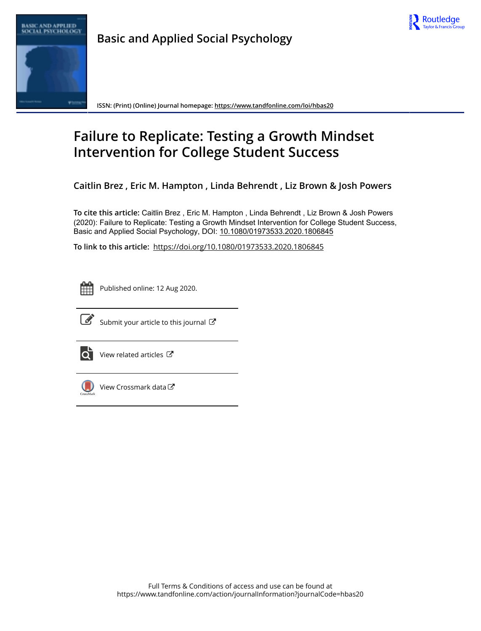



**Basic and Applied Social Psychology**

**ISSN: (Print) (Online) Journal homepage:<https://www.tandfonline.com/loi/hbas20>**

# **Failure to Replicate: Testing a Growth Mindset Intervention for College Student Success**

**Caitlin Brez , Eric M. Hampton , Linda Behrendt , Liz Brown & Josh Powers**

**To cite this article:** Caitlin Brez , Eric M. Hampton , Linda Behrendt , Liz Brown & Josh Powers (2020): Failure to Replicate: Testing a Growth Mindset Intervention for College Student Success, Basic and Applied Social Psychology, DOI: [10.1080/01973533.2020.1806845](https://www.tandfonline.com/action/showCitFormats?doi=10.1080/01973533.2020.1806845)

**To link to this article:** <https://doi.org/10.1080/01973533.2020.1806845>



Published online: 12 Aug 2020.



 $\overrightarrow{S}$  [Submit your article to this journal](https://www.tandfonline.com/action/authorSubmission?journalCode=hbas20&show=instructions)  $\overrightarrow{S}$ 



 $\bullet$  [View related articles](https://www.tandfonline.com/doi/mlt/10.1080/01973533.2020.1806845)  $\mathbb{Z}$ 



[View Crossmark data](http://crossmark.crossref.org/dialog/?doi=10.1080/01973533.2020.1806845&domain=pdf&date_stamp=2020-08-12) C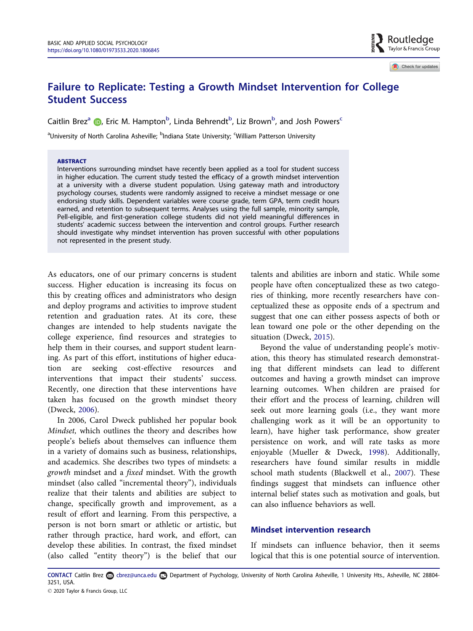# <span id="page-1-0"></span>Failure to Replicate: Testing a Growth Mindset Intervention for College Student Success

Caitlin Brez<sup>a</sup> (D, Eric M. Hampton<sup>b</sup>, Linda Behrendt<sup>b</sup>, Liz Brown<sup>b</sup>, and Josh Powers<sup>c</sup>

<sup>a</sup>University of North Carolina Asheville; <sup>b</sup>Indiana State University; <sup>c</sup>William Patterson University

#### **ARSTRACT**

Interventions surrounding mindset have recently been applied as a tool for student success in higher education. The current study tested the efficacy of a growth mindset intervention at a university with a diverse student population. Using gateway math and introductory psychology courses, students were randomly assigned to receive a mindset message or one endorsing study skills. Dependent variables were course grade, term GPA, term credit hours earned, and retention to subsequent terms. Analyses using the full sample, minority sample, Pell-eligible, and first-generation college students did not yield meaningful differences in students' academic success between the intervention and control groups. Further research should investigate why mindset intervention has proven successful with other populations not represented in the present study.

As educators, one of our primary concerns is student success. Higher education is increasing its focus on this by creating offices and administrators who design and deploy programs and activities to improve student retention and graduation rates. At its core, these changes are intended to help students navigate the college experience, find resources and strategies to help them in their courses, and support student learning. As part of this effort, institutions of higher education are seeking cost-effective resources and interventions that impact their students' success. Recently, one direction that these interventions have taken has focused on the growth mindset theory (Dweck, [2006\)](#page-8-0).

In 2006, Carol Dweck published her popular book Mindset, which outlines the theory and describes how people's beliefs about themselves can influence them in a variety of domains such as business, relationships, and academics. She describes two types of mindsets: a growth mindset and a fixed mindset. With the growth mindset (also called "incremental theory"), individuals realize that their talents and abilities are subject to change, specifically growth and improvement, as a result of effort and learning. From this perspective, a person is not born smart or athletic or artistic, but rather through practice, hard work, and effort, can develop these abilities. In contrast, the fixed mindset (also called "entity theory") is the belief that our

talents and abilities are inborn and static. While some people have often conceptualized these as two categories of thinking, more recently researchers have conceptualized these as opposite ends of a spectrum and suggest that one can either possess aspects of both or lean toward one pole or the other depending on the situation (Dweck, [2015](#page-8-0)).

Beyond the value of understanding people's motivation, this theory has stimulated research demonstrating that different mindsets can lead to different outcomes and having a growth mindset can improve learning outcomes. When children are praised for their effort and the process of learning, children will seek out more learning goals (i.e., they want more challenging work as it will be an opportunity to learn), have higher task performance, show greater persistence on work, and will rate tasks as more enjoyable (Mueller & Dweck, [1998\)](#page-8-0). Additionally, researchers have found similar results in middle school math students (Blackwell et al., [2007\)](#page-8-0). These findings suggest that mindsets can influence other internal belief states such as motivation and goals, but can also influence behaviors as well.

# Mindset intervention research

If mindsets can influence behavior, then it seems logical that this is one potential source of intervention.

CONTACT Caitlin Brez & cbrez@unca.edu Department of Psychology, University of North Carolina Asheville, 1 University Hts., Asheville, NC 28804-3251, USA.

Check for updates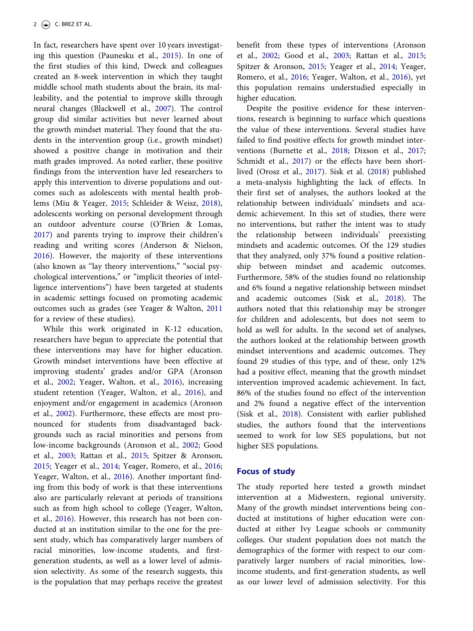<span id="page-2-0"></span>In fact, researchers have spent over 10 years investigating this question (Paunesku et al., [2015](#page-9-0)). In one of the first studies of this kind, Dweck and colleagues created an 8-week intervention in which they taught middle school math students about the brain, its malleability, and the potential to improve skills through neural changes (Blackwell et al., [2007\)](#page-8-0). The control group did similar activities but never learned about the growth mindset material. They found that the students in the intervention group (i.e., growth mindset) showed a positive change in motivation and their math grades improved. As noted earlier, these positive findings from the intervention have led researchers to apply this intervention to diverse populations and outcomes such as adolescents with mental health problems (Miu & Yeager, [2015](#page-8-0); Schleider & Weisz, [2018](#page-9-0)), adolescents working on personal development through an outdoor adventure course (O'Brien & Lomas, [2017](#page-8-0)) and parents trying to improve their children's reading and writing scores (Anderson & Nielson, [2016](#page-8-0)). However, the majority of these interventions (also known as "lay theory interventions," "social psychological interventions," or "implicit theories of intelligence interventions") have been targeted at students in academic settings focused on promoting academic outcomes such as grades (see Yeager & Walton, [2011](#page-9-0) for a review of these studies).

While this work originated in K-12 education, researchers have begun to appreciate the potential that these interventions may have for higher education. Growth mindset interventions have been effective at improving students' grades and/or GPA (Aronson et al., [2002](#page-8-0); Yeager, Walton, et al., [2016](#page-9-0)), increasing student retention (Yeager, Walton, et al., [2016](#page-9-0)), and enjoyment and/or engagement in academics (Aronson et al., [2002\)](#page-8-0). Furthermore, these effects are most pronounced for students from disadvantaged backgrounds such as racial minorities and persons from low-income backgrounds (Aronson et al., [2002](#page-8-0); Good et al., [2003;](#page-8-0) Rattan et al., [2015;](#page-9-0) Spitzer & Aronson, [2015](#page-9-0); Yeager et al., [2014](#page-9-0); Yeager, Romero, et al., [2016](#page-9-0); Yeager, Walton, et al., [2016\)](#page-9-0). Another important finding from this body of work is that these interventions also are particularly relevant at periods of transitions such as from high school to college (Yeager, Walton, et al., [2016](#page-9-0)). However, this research has not been conducted at an institution similar to the one for the present study, which has comparatively larger numbers of racial minorities, low-income students, and firstgeneration students, as well as a lower level of admission selectivity. As some of the research suggests, this is the population that may perhaps receive the greatest

benefit from these types of interventions (Aronson et al., [2002](#page-8-0); Good et al., [2003;](#page-8-0) Rattan et al., [2015](#page-9-0); Spitzer & Aronson, [2015](#page-9-0); Yeager et al., [2014](#page-9-0); Yeager, Romero, et al., [2016](#page-9-0); Yeager, Walton, et al., [2016](#page-9-0)), yet this population remains understudied especially in higher education.

Despite the positive evidence for these interventions, research is beginning to surface which questions the value of these interventions. Several studies have failed to find positive effects for growth mindset interventions (Burnette et al., [2018;](#page-8-0) Dixson et al., [2017](#page-8-0); Schmidt et al., [2017](#page-9-0)) or the effects have been shortlived (Orosz et al., [2017\)](#page-9-0). Sisk et al. [\(2018](#page-9-0)) published a meta-analysis highlighting the lack of effects. In their first set of analyses, the authors looked at the relationship between individuals' mindsets and academic achievement. In this set of studies, there were no interventions, but rather the intent was to study the relationship between individuals' preexisting mindsets and academic outcomes. Of the 129 studies that they analyzed, only 37% found a positive relationship between mindset and academic outcomes. Furthermore, 58% of the studies found no relationship and 6% found a negative relationship between mindset and academic outcomes (Sisk et al., [2018\)](#page-9-0). The authors noted that this relationship may be stronger for children and adolescents, but does not seem to hold as well for adults. In the second set of analyses, the authors looked at the relationship between growth mindset interventions and academic outcomes. They found 29 studies of this type, and of these, only 12% had a positive effect, meaning that the growth mindset intervention improved academic achievement. In fact, 86% of the studies found no effect of the intervention and 2% found a negative effect of the intervention (Sisk et al., [2018](#page-9-0)). Consistent with earlier published studies, the authors found that the interventions seemed to work for low SES populations, but not higher SES populations.

### Focus of study

The study reported here tested a growth mindset intervention at a Midwestern, regional university. Many of the growth mindset interventions being conducted at institutions of higher education were conducted at either Ivy League schools or community colleges. Our student population does not match the demographics of the former with respect to our comparatively larger numbers of racial minorities, lowincome students, and first-generation students, as well as our lower level of admission selectivity. For this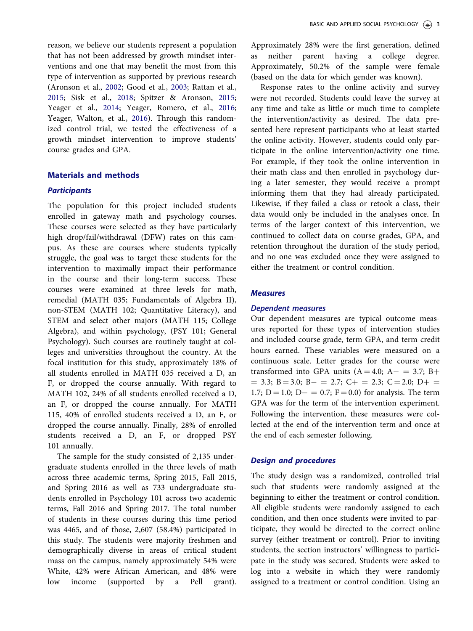reason, we believe our students represent a population that has not been addressed by growth mindset interventions and one that may benefit the most from this type of intervention as supported by previous research (Aronson et al., [2002;](#page-8-0) Good et al., [2003;](#page-8-0) Rattan et al., [2015;](#page-9-0) Sisk et al., [2018](#page-9-0); Spitzer & Aronson, [2015;](#page-9-0) Yeager et al., [2014;](#page-9-0) Yeager, Romero, et al., [2016;](#page-9-0) Yeager, Walton, et al., [2016](#page-9-0)). Through this randomized control trial, we tested the effectiveness of a growth mindset intervention to improve students' course grades and GPA.

# Materials and methods

#### **Participants**

The population for this project included students enrolled in gateway math and psychology courses. These courses were selected as they have particularly high drop/fail/withdrawal (DFW) rates on this campus. As these are courses where students typically struggle, the goal was to target these students for the intervention to maximally impact their performance in the course and their long-term success. These courses were examined at three levels for math, remedial (MATH 035; Fundamentals of Algebra II), non-STEM (MATH 102; Quantitative Literacy), and STEM and select other majors (MATH 115; College Algebra), and within psychology, (PSY 101; General Psychology). Such courses are routinely taught at colleges and universities throughout the country. At the focal institution for this study, approximately 18% of all students enrolled in MATH 035 received a D, an F, or dropped the course annually. With regard to MATH 102, 24% of all students enrolled received a D, an F, or dropped the course annually. For MATH 115, 40% of enrolled students received a D, an F, or dropped the course annually. Finally, 28% of enrolled students received a D, an F, or dropped PSY 101 annually.

The sample for the study consisted of 2,135 undergraduate students enrolled in the three levels of math across three academic terms, Spring 2015, Fall 2015, and Spring 2016 as well as 733 undergraduate students enrolled in Psychology 101 across two academic terms, Fall 2016 and Spring 2017. The total number of students in these courses during this time period was 4465, and of those, 2,607 (58.4%) participated in this study. The students were majority freshmen and demographically diverse in areas of critical student mass on the campus, namely approximately 54% were White, 42% were African American, and 48% were low income (supported by a Pell grant).

Approximately 28% were the first generation, defined as neither parent having a college degree. Approximately, 50.2% of the sample were female (based on the data for which gender was known).

Response rates to the online activity and survey were not recorded. Students could leave the survey at any time and take as little or much time to complete the intervention/activity as desired. The data presented here represent participants who at least started the online activity. However, students could only participate in the online intervention/activity one time. For example, if they took the online intervention in their math class and then enrolled in psychology during a later semester, they would receive a prompt informing them that they had already participated. Likewise, if they failed a class or retook a class, their data would only be included in the analyses once. In terms of the larger context of this intervention, we continued to collect data on course grades, GPA, and retention throughout the duration of the study period, and no one was excluded once they were assigned to either the treatment or control condition.

# **Measures**

#### Dependent measures

Our dependent measures are typical outcome measures reported for these types of intervention studies and included course grade, term GPA, and term credit hours earned. These variables were measured on a continuous scale. Letter grades for the course were transformed into GPA units  $(A = 4.0; A - = 3.7; B +$  $=$  3.3; B  $=$  3.0; B  $=$  2.7; C  $+$   $=$  2.3; C  $=$  2.0; D  $+$   $=$ 1.7;  $D = 1.0$ ;  $D - = 0.7$ ;  $F = 0.0$ ) for analysis. The term GPA was for the term of the intervention experiment. Following the intervention, these measures were collected at the end of the intervention term and once at the end of each semester following.

### Design and procedures

The study design was a randomized, controlled trial such that students were randomly assigned at the beginning to either the treatment or control condition. All eligible students were randomly assigned to each condition, and then once students were invited to participate, they would be directed to the correct online survey (either treatment or control). Prior to inviting students, the section instructors' willingness to participate in the study was secured. Students were asked to log into a website in which they were randomly assigned to a treatment or control condition. Using an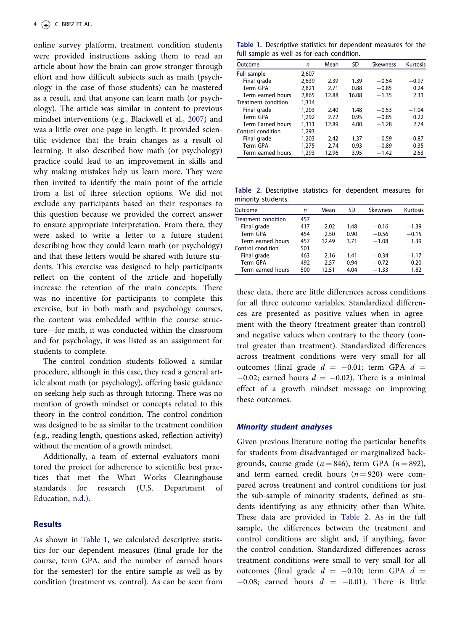<span id="page-4-0"></span>online survey platform, treatment condition students were provided instructions asking them to read an article about how the brain can grow stronger through effort and how difficult subjects such as math (psychology in the case of those students) can be mastered as a result, and that anyone can learn math (or psychology). The article was similar in content to previous mindset interventions (e.g., Blackwell et al., [2007](#page-8-0)) and was a little over one page in length. It provided scientific evidence that the brain changes as a result of learning. It also described how math (or psychology) practice could lead to an improvement in skills and why making mistakes help us learn more. They were then invited to identify the main point of the article from a list of three selection options. We did not exclude any participants based on their responses to this question because we provided the correct answer to ensure appropriate interpretation. From there, they were asked to write a letter to a future student describing how they could learn math (or psychology) and that these letters would be shared with future students. This exercise was designed to help participants reflect on the content of the article and hopefully increase the retention of the main concepts. There was no incentive for participants to complete this exercise, but in both math and psychology courses, the content was embedded within the course structure—for math, it was conducted within the classroom and for psychology, it was listed as an assignment for students to complete.

The control condition students followed a similar procedure, although in this case, they read a general article about math (or psychology), offering basic guidance on seeking help such as through tutoring. There was no mention of growth mindset or concepts related to this theory in the control condition. The control condition was designed to be as similar to the treatment condition (e.g., reading length, questions asked, reflection activity) without the mention of a growth mindset.

Additionally, a team of external evaluators monitored the project for adherence to scientific best practices that met the What Works Clearinghouse standards for research (U.S. Department of Education, [n.d](#page-9-0).).

# **Results**

As shown in Table 1, we calculated descriptive statistics for our dependent measures (final grade for the course, term GPA, and the number of earned hours for the semester) for the entire sample as well as by condition (treatment vs. control). As can be seen from

Table 1. Descriptive statistics for dependent measures for the full sample as well as for each condition.

| Outcome             | n     | Mean  | <b>SD</b> | <b>Skewness</b> | Kurtosis |
|---------------------|-------|-------|-----------|-----------------|----------|
| Full sample         | 2,607 |       |           |                 |          |
| Final grade         | 2.639 | 2.39  | 1.39      | $-0.54$         | $-0.97$  |
| Term GPA            | 2,821 | 2.71  | 0.88      | $-0.85$         | 0.24     |
| Term earned hours   | 2,865 | 12.88 | 16.08     | $-1.35$         | 2.31     |
| Treatment condition | 1,314 |       |           |                 |          |
| Final grade         | 1,203 | 2.40  | 1.48      | $-0.53$         | $-1.04$  |
| Term GPA            | 1,292 | 2.72  | 0.95      | $-0.85$         | 0.22     |
| Term Earned hours   | 1,311 | 12.89 | 4.00      | $-1.28$         | 2.74     |
| Control condition   | 1,293 |       |           |                 |          |
| Final grade         | 1,203 | 2.42  | 1.37      | $-0.59$         | $-0.87$  |
| Term GPA            | 1,275 | 2.74  | 0.93      | $-0.89$         | 0.35     |
| Term earned hours   | 1,293 | 12.96 | 3.95      | $-1.42$         | 2.63     |
|                     |       |       |           |                 |          |

Table 2. Descriptive statistics for dependent measures for minority students.

| Outcome             | n   | Mean  | SD   | <b>Skewness</b> | Kurtosis |
|---------------------|-----|-------|------|-----------------|----------|
| Treatment condition | 457 |       |      |                 |          |
| Final grade         | 417 | 2.02  | 1.48 | $-0.16$         | $-1.39$  |
| Term GPA            | 454 | 2.50  | 0.90 | $-0.56$         | $-0.15$  |
| Term earned hours   | 457 | 12.49 | 3.71 | $-1.08$         | 1.39     |
| Control condition   | 501 |       |      |                 |          |
| Final grade         | 463 | 2.16  | 1.41 | $-0.34$         | $-1.17$  |
| Term GPA            | 492 | 2.57  | 0.94 | $-0.72$         | 0.20     |
| Term earned hours   | 500 | 12.51 | 4.04 | $-1.33$         | 1.82     |

these data, there are little differences across conditions for all three outcome variables. Standardized differences are presented as positive values when in agreement with the theory (treatment greater than control) and negative values when contrary to the theory (control greater than treatment). Standardized differences across treatment conditions were very small for all outcomes (final grade  $d = -0.01$ ; term GPA  $d =$  $-0.02$ ; earned hours  $d = -0.02$ ). There is a minimal effect of a growth mindset message on improving these outcomes.

#### Minority student analyses

Given previous literature noting the particular benefits for students from disadvantaged or marginalized backgrounds, course grade ( $n = 846$ ), term GPA ( $n = 892$ ), and term earned credit hours  $(n = 920)$  were compared across treatment and control conditions for just the sub-sample of minority students, defined as students identifying as any ethnicity other than White. These data are provided in Table 2. As in the full sample, the differences between the treatment and control conditions are slight and, if anything, favor the control condition. Standardized differences across treatment conditions were small to very small for all outcomes (final grade  $d = -0.10$ ; term GPA  $d =$  $-0.08$ ; earned hours  $d = -0.01$ ). There is little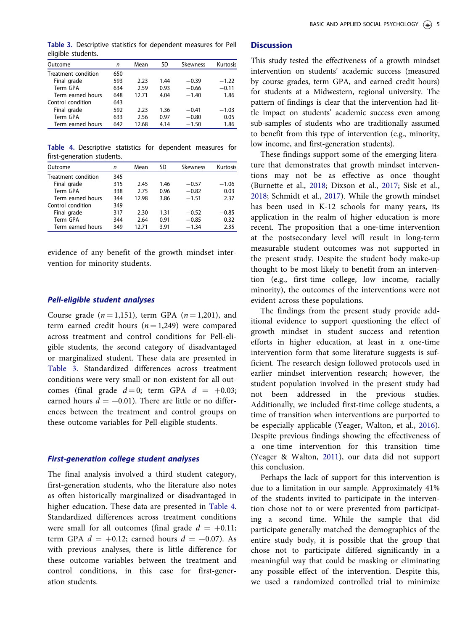| Outcome             | n   | Mean  | SD   | <b>Skewness</b> | Kurtosis |
|---------------------|-----|-------|------|-----------------|----------|
| Treatment condition | 650 |       |      |                 |          |
| Final grade         | 593 | 2.23  | 1.44 | $-0.39$         | $-1.22$  |
| Term GPA            | 634 | 2.59  | 0.93 | $-0.66$         | $-0.11$  |
| Term earned hours   | 648 | 12.71 | 4.04 | $-1.40$         | 1.86     |
| Control condition   | 643 |       |      |                 |          |
| Final grade         | 592 | 2.23  | 1.36 | $-0.41$         | $-1.03$  |
| Term GPA            | 633 | 2.56  | 0.97 | $-0.80$         | 0.05     |
| Term earned hours   | 642 | 12.68 | 4.14 | $-1.50$         | 1.86     |

Table 4. Descriptive statistics for dependent measures for first-generation students.

| Outcome             | n   | Mean  | SD   | <b>Skewness</b> | Kurtosis |
|---------------------|-----|-------|------|-----------------|----------|
| Treatment condition | 345 |       |      |                 |          |
| Final grade         | 315 | 2.45  | 1.46 | $-0.57$         | $-1.06$  |
| Term GPA            | 338 | 2.75  | 0.96 | $-0.82$         | 0.03     |
| Term earned hours   | 344 | 12.98 | 3.86 | $-1.51$         | 2.37     |
| Control condition   | 349 |       |      |                 |          |
| Final grade         | 317 | 2.30  | 1.31 | $-0.52$         | $-0.85$  |
| Term GPA            | 344 | 2.64  | 0.91 | $-0.85$         | 0.32     |
| Term earned hours   | 349 | 12.71 | 3.91 | $-1.34$         | 2.35     |

evidence of any benefit of the growth mindset intervention for minority students.

#### Pell-eligible student analyses

Course grade ( $n = 1,151$ ), term GPA ( $n = 1,201$ ), and term earned credit hours ( $n = 1,249$ ) were compared across treatment and control conditions for Pell-eligible students, the second category of disadvantaged or marginalized student. These data are presented in Table 3. Standardized differences across treatment conditions were very small or non-existent for all outcomes (final grade  $d=0$ ; term GPA  $d = +0.03$ ; earned hours  $d = +0.01$ . There are little or no differences between the treatment and control groups on these outcome variables for Pell-eligible students.

### First-generation college student analyses

The final analysis involved a third student category, first-generation students, who the literature also notes as often historically marginalized or disadvantaged in higher education. These data are presented in Table 4. Standardized differences across treatment conditions were small for all outcomes (final grade  $d = +0.11$ ; term GPA  $d = +0.12$ ; earned hours  $d = +0.07$ ). As with previous analyses, there is little difference for these outcome variables between the treatment and control conditions, in this case for first-generation students.

#### **Discussion**

This study tested the effectiveness of a growth mindset intervention on students' academic success (measured by course grades, term GPA, and earned credit hours) for students at a Midwestern, regional university. The pattern of findings is clear that the intervention had little impact on students' academic success even among sub-samples of students who are traditionally assumed to benefit from this type of intervention (e.g., minority, low income, and first-generation students).

These findings support some of the emerging literature that demonstrates that growth mindset interventions may not be as effective as once thought (Burnette et al., [2018;](#page-8-0) Dixson et al., [2017;](#page-8-0) Sisk et al., [2018](#page-9-0); Schmidt et al., [2017\)](#page-9-0). While the growth mindset has been used in K-12 schools for many years, its application in the realm of higher education is more recent. The proposition that a one-time intervention at the postsecondary level will result in long-term measurable student outcomes was not supported in the present study. Despite the student body make-up thought to be most likely to benefit from an intervention (e.g., first-time college, low income, racially minority), the outcomes of the interventions were not evident across these populations.

The findings from the present study provide additional evidence to support questioning the effect of growth mindset in student success and retention efforts in higher education, at least in a one-time intervention form that some literature suggests is sufficient. The research design followed protocols used in earlier mindset intervention research; however, the student population involved in the present study had not been addressed in the previous studies. Additionally, we included first-time college students, a time of transition when interventions are purported to be especially applicable (Yeager, Walton, et al., [2016](#page-9-0)). Despite previous findings showing the effectiveness of a one-time intervention for this transition time (Yeager & Walton, [2011\)](#page-9-0), our data did not support this conclusion.

Perhaps the lack of support for this intervention is due to a limitation in our sample. Approximately 41% of the students invited to participate in the intervention chose not to or were prevented from participating a second time. While the sample that did participate generally matched the demographics of the entire study body, it is possible that the group that chose not to participate differed significantly in a meaningful way that could be masking or eliminating any possible effect of the intervention. Despite this, we used a randomized controlled trial to minimize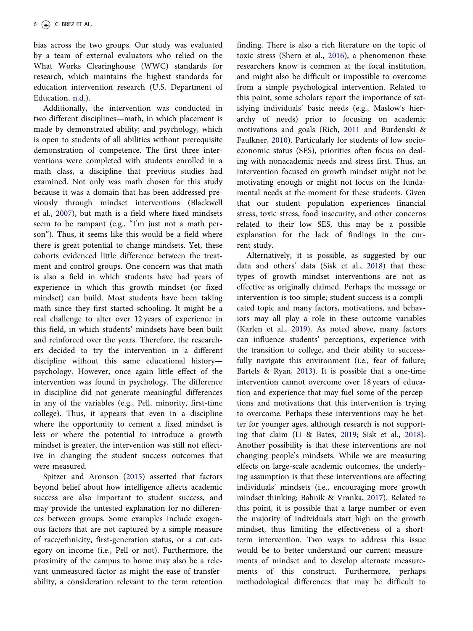<span id="page-6-0"></span>bias across the two groups. Our study was evaluated by a team of external evaluators who relied on the What Works Clearinghouse (WWC) standards for research, which maintains the highest standards for education intervention research (U.S. Department of Education, [n.d](#page-9-0).).

Additionally, the intervention was conducted in two different disciplines—math, in which placement is made by demonstrated ability; and psychology, which is open to students of all abilities without prerequisite demonstration of competence. The first three interventions were completed with students enrolled in a math class, a discipline that previous studies had examined. Not only was math chosen for this study because it was a domain that has been addressed previously through mindset interventions (Blackwell et al., [2007](#page-8-0)), but math is a field where fixed mindsets seem to be rampant (e.g., "I'm just not a math person"). Thus, it seems like this would be a field where there is great potential to change mindsets. Yet, these cohorts evidenced little difference between the treatment and control groups. One concern was that math is also a field in which students have had years of experience in which this growth mindset (or fixed mindset) can build. Most students have been taking math since they first started schooling. It might be a real challenge to alter over 12 years of experience in this field, in which students' mindsets have been built and reinforced over the years. Therefore, the researchers decided to try the intervention in a different discipline without this same educational history psychology. However, once again little effect of the intervention was found in psychology. The difference in discipline did not generate meaningful differences in any of the variables (e.g., Pell, minority, first-time college). Thus, it appears that even in a discipline where the opportunity to cement a fixed mindset is less or where the potential to introduce a growth mindset is greater, the intervention was still not effective in changing the student success outcomes that were measured.

Spitzer and Aronson [\(2015\)](#page-9-0) asserted that factors beyond belief about how intelligence affects academic success are also important to student success, and may provide the untested explanation for no differences between groups. Some examples include exogenous factors that are not captured by a simple measure of race/ethnicity, first-generation status, or a cut category on income (i.e., Pell or not). Furthermore, the proximity of the campus to home may also be a relevant unmeasured factor as might the ease of transferability, a consideration relevant to the term retention finding. There is also a rich literature on the topic of toxic stress (Shern et al., [2016](#page-9-0)), a phenomenon these researchers know is common at the focal institution, and might also be difficult or impossible to overcome from a simple psychological intervention. Related to this point, some scholars report the importance of satisfying individuals' basic needs (e.g., Maslow's hierarchy of needs) prior to focusing on academic motivations and goals (Rich, [2011](#page-9-0) and Burdenski & Faulkner, [2010](#page-8-0)). Particularly for students of low socioeconomic status (SES), priorities often focus on dealing with nonacademic needs and stress first. Thus, an intervention focused on growth mindset might not be motivating enough or might not focus on the fundamental needs at the moment for these students. Given that our student population experiences financial stress, toxic stress, food insecurity, and other concerns related to their low SES, this may be a possible explanation for the lack of findings in the current study.

Alternatively, it is possible, as suggested by our data and others' data (Sisk et al., [2018\)](#page-9-0) that these types of growth mindset interventions are not as effective as originally claimed. Perhaps the message or intervention is too simple; student success is a complicated topic and many factors, motivations, and behaviors may all play a role in these outcome variables (Karlen et al., [2019](#page-8-0)). As noted above, many factors can influence students' perceptions, experience with the transition to college, and their ability to successfully navigate this environment (i.e., fear of failure; Bartels & Ryan, [2013\)](#page-8-0). It is possible that a one-time intervention cannot overcome over 18 years of education and experience that may fuel some of the perceptions and motivations that this intervention is trying to overcome. Perhaps these interventions may be better for younger ages, although research is not supporting that claim (Li & Bates, [2019;](#page-8-0) Sisk et al., [2018\)](#page-9-0). Another possibility is that these interventions are not changing people's mindsets. While we are measuring effects on large-scale academic outcomes, the underlying assumption is that these interventions are affecting individuals' mindsets (i.e., encouraging more growth mindset thinking; Bahnik & Vranka, [2017\)](#page-8-0). Related to this point, it is possible that a large number or even the majority of individuals start high on the growth mindset, thus limiting the effectiveness of a shortterm intervention. Two ways to address this issue would be to better understand our current measurements of mindset and to develop alternate measurements of this construct. Furthermore, perhaps methodological differences that may be difficult to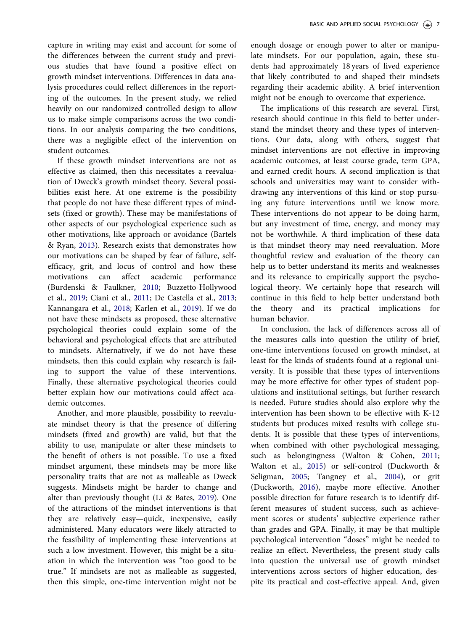<span id="page-7-0"></span>capture in writing may exist and account for some of the differences between the current study and previous studies that have found a positive effect on growth mindset interventions. Differences in data analysis procedures could reflect differences in the reporting of the outcomes. In the present study, we relied heavily on our randomized controlled design to allow us to make simple comparisons across the two conditions. In our analysis comparing the two conditions, there was a negligible effect of the intervention on student outcomes.

If these growth mindset interventions are not as effective as claimed, then this necessitates a reevaluation of Dweck's growth mindset theory. Several possibilities exist here. At one extreme is the possibility that people do not have these different types of mindsets (fixed or growth). These may be manifestations of other aspects of our psychological experience such as other motivations, like approach or avoidance (Bartels & Ryan, [2013](#page-8-0)). Research exists that demonstrates how our motivations can be shaped by fear of failure, selfefficacy, grit, and locus of control and how these motivations can affect academic performance (Burdenski & Faulkner, [2010;](#page-8-0) Buzzetto-Hollywood et al., [2019](#page-8-0); Ciani et al., [2011;](#page-8-0) De Castella et al., [2013;](#page-8-0) Kannangara et al., [2018](#page-8-0); Karlen et al., [2019\)](#page-8-0). If we do not have these mindsets as proposed, these alternative psychological theories could explain some of the behavioral and psychological effects that are attributed to mindsets. Alternatively, if we do not have these mindsets, then this could explain why research is failing to support the value of these interventions. Finally, these alternative psychological theories could better explain how our motivations could affect academic outcomes.

Another, and more plausible, possibility to reevaluate mindset theory is that the presence of differing mindsets (fixed and growth) are valid, but that the ability to use, manipulate or alter these mindsets to the benefit of others is not possible. To use a fixed mindset argument, these mindsets may be more like personality traits that are not as malleable as Dweck suggests. Mindsets might be harder to change and alter than previously thought (Li & Bates, [2019\)](#page-8-0). One of the attractions of the mindset interventions is that they are relatively easy—quick, inexpensive, easily administered. Many educators were likely attracted to the feasibility of implementing these interventions at such a low investment. However, this might be a situation in which the intervention was "too good to be true." If mindsets are not as malleable as suggested, then this simple, one-time intervention might not be

enough dosage or enough power to alter or manipulate mindsets. For our population, again, these students had approximately 18 years of lived experience that likely contributed to and shaped their mindsets regarding their academic ability. A brief intervention might not be enough to overcome that experience.

The implications of this research are several. First, research should continue in this field to better understand the mindset theory and these types of interventions. Our data, along with others, suggest that mindset interventions are not effective in improving academic outcomes, at least course grade, term GPA, and earned credit hours. A second implication is that schools and universities may want to consider withdrawing any interventions of this kind or stop pursuing any future interventions until we know more. These interventions do not appear to be doing harm, but any investment of time, energy, and money may not be worthwhile. A third implication of these data is that mindset theory may need reevaluation. More thoughtful review and evaluation of the theory can help us to better understand its merits and weaknesses and its relevance to empirically support the psychological theory. We certainly hope that research will continue in this field to help better understand both the theory and its practical implications for human behavior.

In conclusion, the lack of differences across all of the measures calls into question the utility of brief, one-time interventions focused on growth mindset, at least for the kinds of students found at a regional university. It is possible that these types of interventions may be more effective for other types of student populations and institutional settings, but further research is needed. Future studies should also explore why the intervention has been shown to be effective with K-12 students but produces mixed results with college students. It is possible that these types of interventions, when combined with other psychological messaging, such as belongingness (Walton & Cohen, [2011;](#page-9-0) Walton et al., [2015\)](#page-9-0) or self-control (Duckworth & Seligman, [2005;](#page-8-0) Tangney et al., [2004](#page-9-0)), or grit (Duckworth, [2016](#page-8-0)), maybe more effective. Another possible direction for future research is to identify different measures of student success, such as achievement scores or students' subjective experience rather than grades and GPA. Finally, it may be that multiple psychological intervention "doses" might be needed to realize an effect. Nevertheless, the present study calls into question the universal use of growth mindset interventions across sectors of higher education, despite its practical and cost-effective appeal. And, given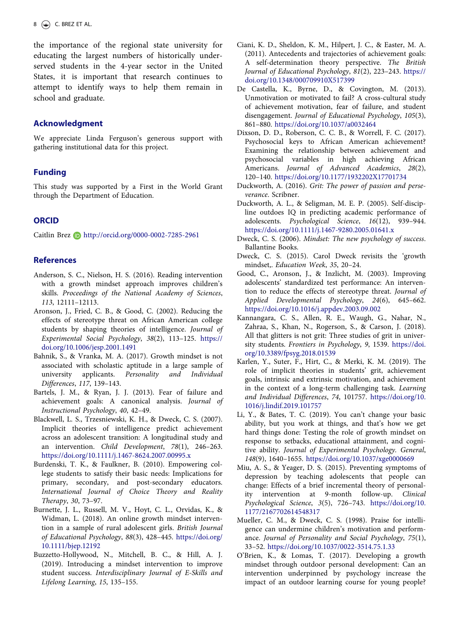<span id="page-8-0"></span>the importance of the regional state university for educating the largest numbers of historically underserved students in the 4-year sector in the United States, it is important that research continues to attempt to identify ways to help them remain in school and graduate.

### Acknowledgment

We appreciate Linda Ferguson's generous support with gathering institutional data for this project.

#### Funding

This study was supported by a First in the World Grant through the Department of Education.

#### **ORCID**

Caitlin Brez D http://orcid.org/0000-0002-7285-2961

# **References**

- Anderson, S. C., Nielson, H. S. ([2016\)](#page-2-0). Reading intervention with a growth mindset approach improves children's skills. Proceedings of the National Academy of Sciences, 113, 12111–12113.
- Aronson, J., Fried, C. B., & Good, C. ([2002\)](#page-2-0). Reducing the effects of stereotype threat on African American college students by shaping theories of intelligence. Journal of Experimental Social Psychology, 38(2), 113–125. [https://](https://doi.org/10.1006/jesp.2001.1491) [doi.org/10.1006/jesp.2001.1491](https://doi.org/10.1006/jesp.2001.1491)
- Bahnik, S., & Vranka, M. A. ([2017](#page-6-0)). Growth mindset is not associated with scholastic aptitude in a large sample of university applicants. Personality and Individual Differences, 117, 139–143.
- Bartels, J. M., & Ryan, J. J. [\(2013](#page-6-0)). Fear of failure and achievement goals: A canonical analysis. Journal of Instructional Psychology, 40, 42–49.
- Blackwell, L. S., Trzesniewski, K. H., & Dweck, C. S. ([2007](#page-1-0)). Implicit theories of intelligence predict achievement across an adolescent transition: A longitudinal study and an intervention. Child Development, 78(1), 246–263. <https://doi.org/10.1111/j.1467-8624.2007.00995.x>
- Burdenski, T. K., & Faulkner, B. ([2010](#page-6-0)). Empowering college students to satisfy their basic needs: Implications for primary, secondary, and post-secondary educators. International Journal of Choice Theory and Reality Therapy, 30, 73–97.
- Burnette, J. L., Russell, M. V., Hoyt, C. L., Orvidas, K., & Widman, L. ([2018\)](#page-2-0). An online growth mindset intervention in a sample of rural adolescent girls. British Journal of Educational Psychology, 88(3), 428–445. [https://doi.org/](https://doi.org/10.1111/bjep.12192) [10.1111/bjep.12192](https://doi.org/10.1111/bjep.12192)
- Buzzetto-Hollywood, N., Mitchell, B. C., & Hill, A. J. ([2019\)](#page-7-0). Introducing a mindset intervention to improve student success. Interdisciplinary Journal of E-Skills and Lifelong Learning, 15, 135–155.
- Ciani, K. D., Sheldon, K. M., Hilpert, J. C., & Easter, M. A. ([2011\)](#page-7-0). Antecedents and trajectories of achievement goals: A self-determination theory perspective. The British Journal of Educational Psychology, 81(2), 223–243. [https://](https://doi.org/10.1348/000709910X517399) [doi.org/10.1348/000709910X517399](https://doi.org/10.1348/000709910X517399)
- De Castella, K., Byrne, D., & Covington, M. ([2013](#page-7-0)). Unmotivation or motivated to fail? A cross-cultural study of achievement motivation, fear of failure, and student disengagement. Journal of Educational Psychology, 105(3), 861–880. <https://doi.org/10.1037/a0032464>
- Dixson, D. D., Roberson, C. C. B., & Worrell, F. C. ([2017](#page-2-0)). Psychosocial keys to African American achievement? Examining the relationship between achievement and psychosocial variables in high achieving African Americans. Journal of Advanced Academics, 28(2), 120–140. <https://doi.org/10.1177/1932202X17701734>
- Duckworth, A. ([2016\)](#page-7-0). Grit: The power of passion and perseverance. Scribner.
- Duckworth, A. L., & Seligman, M. E. P. [\(2005](#page-7-0)). Self-discipline outdoes IQ in predicting academic performance of adolescents. Psychological Science, 16(12), 939–944. <https://doi.org/10.1111/j.1467-9280.2005.01641.x>
- Dweck, C. S. [\(2006](#page-1-0)). Mindset: The new psychology of success. Ballantine Books.
- Dweck, C. S. [\(2015\)](#page-1-0). Carol Dweck revisits the 'growth mindset,. Education Week, 35, 20–24.
- Good, C., Aronson, J., & Inzlicht, M. ([2003\)](#page-2-0). Improving adolescents' standardized test performance: An intervention to reduce the effects of stereotype threat. Journal of Applied Developmental Psychology, 24(6), 645–662. <https://doi.org/10.1016/j.appdev.2003.09.002>
- Kannangara, C. S., Allen, R. E., Waugh, G., Nahar, N., Zahraa, S., Khan, N., Rogerson, S., & Carson, J. ([2018](#page-7-0)). All that glitters is not grit: Three studies of grit in university students. Frontiers in Psychology, 9, 1539. [https://doi.](https://doi.org/10.3389/fpsyg.2018.01539) [org/10.3389/fpsyg.2018.01539](https://doi.org/10.3389/fpsyg.2018.01539)
- Karlen, Y., Suter, F., Hirt, C., & Merki, K. M. ([2019](#page-6-0)). The role of implicit theories in students' grit, achievement goals, intrinsic and extrinsic motivation, and achievement in the context of a long-term challenging task. Learning and Individual Differences, 74, 101757. [https://doi.org/10.](https://doi.org/10.1016/j.lindif.2019.101757) [1016/j.lindif.2019.101757](https://doi.org/10.1016/j.lindif.2019.101757)
- Li, Y., & Bates, T. C. ([2019](#page-6-0)). You can't change your basic ability, but you work at things, and that's how we get hard things done: Testing the role of growth mindset on response to setbacks, educational attainment, and cognitive ability. Journal of Experimental Psychology. General, 148(9), 1640–1655. <https://doi.org/10.1037/xge0000669>
- Miu, A. S., & Yeager, D. S. ([2015\)](#page-2-0). Preventing symptoms of depression by teaching adolescents that people can change: Effects of a brief incremental theory of personality intervention at 9-month follow-up. Clinical Psychological Science, 3(5), 726–743. [https://doi.org/10.](https://doi.org/10.1177/2167702614548317) [1177/2167702614548317](https://doi.org/10.1177/2167702614548317)
- Mueller, C. M., & Dweck, C. S. [\(1998](#page-1-0)). Praise for intelligence can undermine children's motivation and performance. Journal of Personality and Social Psychology, 75(1), 33–52. <https://doi.org/10.1037/0022-3514.75.1.33>
- O'Brien, K., & Lomas, T. [\(2017](#page-2-0)). Developing a growth mindset through outdoor personal development: Can an intervention underpinned by psychology increase the impact of an outdoor learning course for young people?